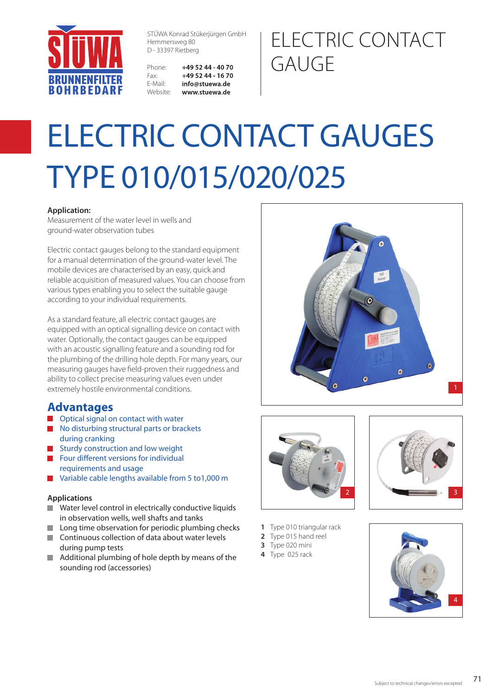

STÜWA Konrad Stükerjürgen GmbH Hemmersweg 80 D - 33397 Rietberg

| Phone:           | $+495244 - 4070$ |
|------------------|------------------|
| Fax <sup>.</sup> | $+495244 - 1670$ |
| E-Mail:          | info@stuewa.de   |
| Website:         | www.stuewa.de    |

## ELECTRIC CONTACT GAUGE

# ELECTRIC CONTACT GAUGES TYPE 010/015/020/025

#### **Application:**

Measurement of the water level in wells and ground-water observation tubes

Electric contact gauges belong to the standard equipment for a manual determination of the ground-water level. The mobile devices are characterised by an easy, quick and reliable acquisition of measured values. You can choose from various types enabling you to select the suitable gauge according to your individual requirements.

As a standard feature, all electric contact gauges are equipped with an optical signalling device on contact with water. Optionally, the contact gauges can be equipped with an acoustic signalling feature and a sounding rod for the plumbing of the drilling hole depth. For many years, our measuring gauges have field-proven their ruggedness and ability to collect precise measuring values even under extremely hostile environmental conditions.

#### **Advantages**

- **Optical signal on contact with water**
- No disturbing structural parts or brackets during cranking
- Sturdy construction and low weight
- Four different versions for individual requirements and usage
- **No Variable cable lengths available from 5 to 1,000 m**

#### **Applications**

- **Water level control in electrically conductive liquids** in observation wells, well shafts and tanks
- $\blacksquare$ Long time observation for periodic plumbing checks
- Continuous collection of data about water levels during pump tests
- Additional plumbing of hole depth by means of the  $\blacksquare$ sounding rod (accessories)







- **1** Type 010 triangular rack
- **2** Type 015 hand reel
- **3** Type 020 mini
- **4** Type 025 rack

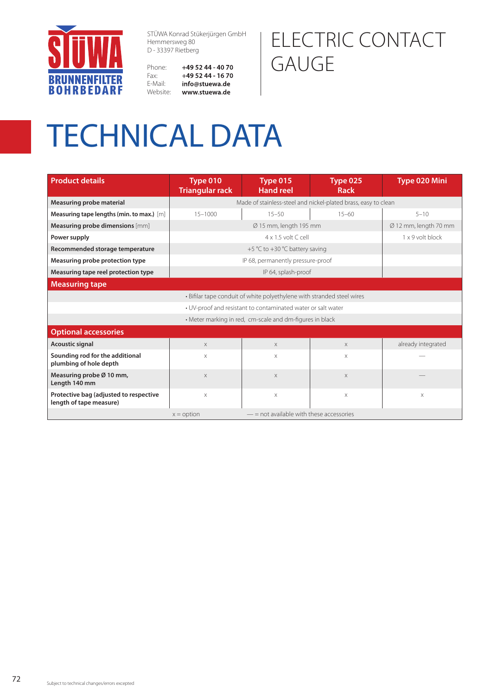

STÜWA Konrad Stükerjürgen GmbH Hemmersweg 80 D - 33397 Rietberg

### ELECTRIC CONTACT GAUGE

Phone: +49 52 44 - 40 70 +49 52 44 - 16 70 Fax: E-Mail: info@stuewa.de Website: www.stuewa.de

## TECHNICAL DATA

| <b>Product details</b>                                                 | Type 010<br><b>Triangular rack</b>                             | Type 015<br><b>Hand reel</b> | <b>Type 025</b><br><b>Rack</b> | Type 020 Mini      |  |  |  |
|------------------------------------------------------------------------|----------------------------------------------------------------|------------------------------|--------------------------------|--------------------|--|--|--|
| Measuring probe material                                               | Made of stainless-steel and nickel-plated brass, easy to clean |                              |                                |                    |  |  |  |
| Measuring tape lengths (min. to max.) [m]                              | $15 - 1000$                                                    | $15 - 50$                    | $15 - 60$                      | $5 - 10$           |  |  |  |
| Measuring probe dimensions [mm]                                        |                                                                | Ø 12 mm, length 70 mm        |                                |                    |  |  |  |
| Power supply                                                           | 1 x 9 volt block<br>$4 \times 1.5$ volt C cell                 |                              |                                |                    |  |  |  |
| Recommended storage temperature                                        | +5 °C to +30 °C battery saving                                 |                              |                                |                    |  |  |  |
| Measuring probe protection type                                        | IP 68, permanently pressure-proof                              |                              |                                |                    |  |  |  |
| Measuring tape reel protection type                                    | IP 64, splash-proof                                            |                              |                                |                    |  |  |  |
| <b>Measuring tape</b>                                                  |                                                                |                              |                                |                    |  |  |  |
| · Bifilar tape conduit of white polyethylene with stranded steel wires |                                                                |                              |                                |                    |  |  |  |
| • UV-proof and resistant to contaminated water or salt water           |                                                                |                              |                                |                    |  |  |  |
|                                                                        | • Meter marking in red, cm-scale and dm-figures in black       |                              |                                |                    |  |  |  |
| <b>Optional accessories</b>                                            |                                                                |                              |                                |                    |  |  |  |
| Acoustic signal                                                        | $\times$                                                       | $\times$                     | $\times$                       | already integrated |  |  |  |
| Sounding rod for the additional<br>plumbing of hole depth              | $\times$                                                       | X                            | Χ                              |                    |  |  |  |
| Measuring probe Ø 10 mm,<br>Length 140 mm                              | $\times$                                                       | $\times$                     | $\times$                       |                    |  |  |  |
| Protective bag (adjusted to respective<br>length of tape measure)      | $\times$                                                       | $\times$                     | $\times$                       | X                  |  |  |  |
|                                                                        | $-$ = not available with these accessories<br>$x =$ option     |                              |                                |                    |  |  |  |